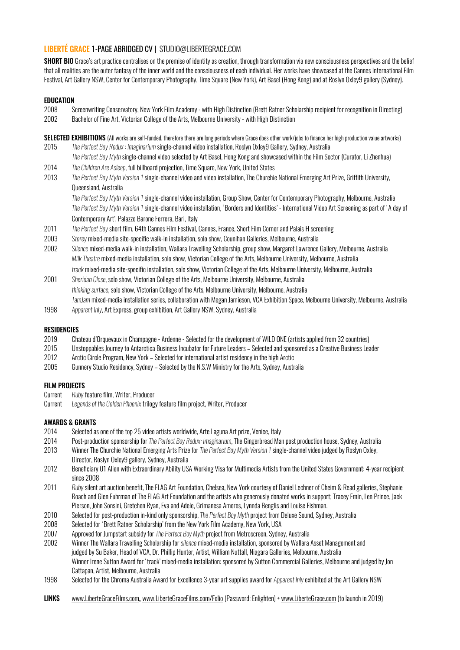# LIBERTÉ GRACE 1-PAGE ABRIDGED CV | STUDIO@LIBERTEGRACE.COM

SHORT BIO Grace's art practice centralises on the premise of identity as creation, through transformation via new consciousness perspectives and the belief that all realities are the outer fantasy of the inner world and the consciousness of each individual. Her works have showcased at the Cannes International Film Festival, Art Gallery NSW, Center for Contemporary Photography, Time Square (New York), Art Basel (Hong Kong) and at Roslyn Oxley9 gallery (Sydney).

### **EDUCATION**

2008 Screenwriting Conservatory, New York Film Academy - with High Distinction (Brett Ratner Scholarship recipient for recognition in Directing) 2002 Bachelor of Fine Art, Victorian College of the Arts, Melbourne University - with High Distinction

SELECTED EXHIBITIONS (All works are self-funded, therefore there are long periods where Grace does other work/jobs to finance her high production value artworks) 2015 *The Perfect Boy Redux : Imaginarium* single-channel video installation, Roslyn Oxley9 Gallery, Sydney, Australia

- *The Perfect Boy Myth* single-channel video selected by Art Basel, Hong Kong and showcased within the Film Sector (Curator, Li Zhenhua)
- 2014 *The Children Are Asleep*, full billboard projection, Time Square, New York, United States
- 2013 *The Perfect Boy Myth Version 1* single-channel video and video installation, The Churchie National Emerging Art Prize, Griffith University, Queensland, Australia

*The Perfect Boy Myth Version 1* single-channel video installation, Group Show, Center for Contemporary Photography, Melbourne, Australia *The Perfect Boy Myth Version 1* single-channel video installation, 'Borders and Identities' - International Video Art Screening as part of 'A day of Contemporary Art', Palazzo Barone Ferrera, Bari, Italy

- 2011 *The Perfect Boy* short film, 64th Cannes Film Festival, Cannes, France, Short Film Corner and Palais H screening
- 2003 *Storey* mixed-media site-specific walk-in installation, solo show, Counihan Galleries, Melbourne, Australia
- 2002 *Silence* mixed-media walk-in installation, Wallara Travelling Scholarship, group show, Margaret Lawrence Gallery, Melbourne, Australia *Milk Theatre* mixed-media installation, solo show, Victorian College of the Arts, Melbourne University, Melbourne, Australia
- *track* mixed-media site-specific installation, solo show, Victorian College of the Arts, Melbourne University, Melbourne, Australia 2001 *Sheridan Close*, solo show, Victorian College of the Arts, Melbourne University, Melbourne, Australia
- *thinking surface*, solo show, Victorian College of the Arts, Melbourne University, Melbourne, Australia *TamJam* mixed-media installation series, collaboration with Megan Jamieson, VCA Exhibition Space, Melbourne University, Melbourne, Australia
- 1998 *Apparent Inly*, Art Express, group exhibition, Art Gallery NSW, Sydney, Australia

#### **RESIDENCIES**

- 2019 Chateau d'Orquevaux in Champagne Ardenne Selected for the development of WILD ONE (artists applied from 32 countries)
- 2015 Unstoppables Journey to Antarctica Business Incubator for Future Leaders Selected and sponsored as a Creative Business Leader
- 2012 Arctic Circle Program, New York Selected for international artist residency in the high Arctic
- 2005 Gunnery Studio Residency, Sydney Selected by the N.S.W Ministry for the Arts, Sydney, Australia

#### FILM PROJECTS

- Current *Ruby* feature film, Writer, Producer
- Current *Legends of the Golden Phoenix* trilogy feature film project, Writer, Producer

#### AWARDS & GRANTS

- 2014 Selected as one of the top 25 video artists worldwide, Arte Laguna Art prize, Venice, Italy
- 2014 Post-production sponsorship for *The Perfect Boy Redux: Imaginarium*, The Gingerbread Man post production house, Sydney, Australia
- 2013 Winner The Churchie National Emerging Arts Prize for *The Perfect Boy Myth Version 1* single-channel video judged by Roslyn Oxley, Director, Roslyn Oxley9 gallery, Sydney, Australia
- 2012 Beneficiary 01 Alien with Extraordinary Ability USA Working Visa for Multimedia Artists from the United States Government: 4-year recipient since 2008
- 2011 *Ruby* silent art auction benefit, The FLAG Art Foundation, Chelsea, New York courtesy of Daniel Lechner of Cheim & Read galleries, Stephanie Roach and Glen Fuhrman of The FLAG Art Foundation and the artists who generously donated works in support; Tracey Emin, Len Prince, Jack Pierson, John Sonsini, Gretchen Ryan, Eva and Adele, Grimanesa Amoros, Lynnda Benglis and Louise Fishman.
- 2010 Selected for post-production in-kind only sponsorship, *The Perfect Boy Myth* project from Deluxe Sound, Sydney, Australia
- 2008 Selected for 'Brett Ratner Scholarship' from the New York Film Academy, New York, USA
- 2007 Approved for Jumpstart subsidy for *The Perfect Boy Myth* project from Metroscreen, Sydney, Australia
- 2002 Winner The Wallara Travelling Scholarship for *silence* mixed-media installation, sponsored by Wallara Asset Management and judged by Su Baker, Head of VCA, Dr. Phillip Hunter, Artist, William Nuttall, Niagara Galleries, Melbourne, Australia Winner Irene Sutton Award for 'track' mixed-media installation: sponsored by Sutton Commercial Galleries, Melbourne and judged by Jon Cattapan, Artist, Melbourne, Australia
- 1998 Selected for the Chroma Australia Award for Excellence 3-year art supplies award for *Apparent Inly* exhibited at the Art Gallery NSW
- LINKS [www.LiberteGraceFilms.com](http://www.LiberteGraceFilms.com), [www.LiberteGraceFilms.com/Folio](http://www.LiberteGraceFilms.com/Folio) (Password: Enlighten) + [www.LiberteGrace.com](http://www.LiberteGrace.com) (to launch in 2019)